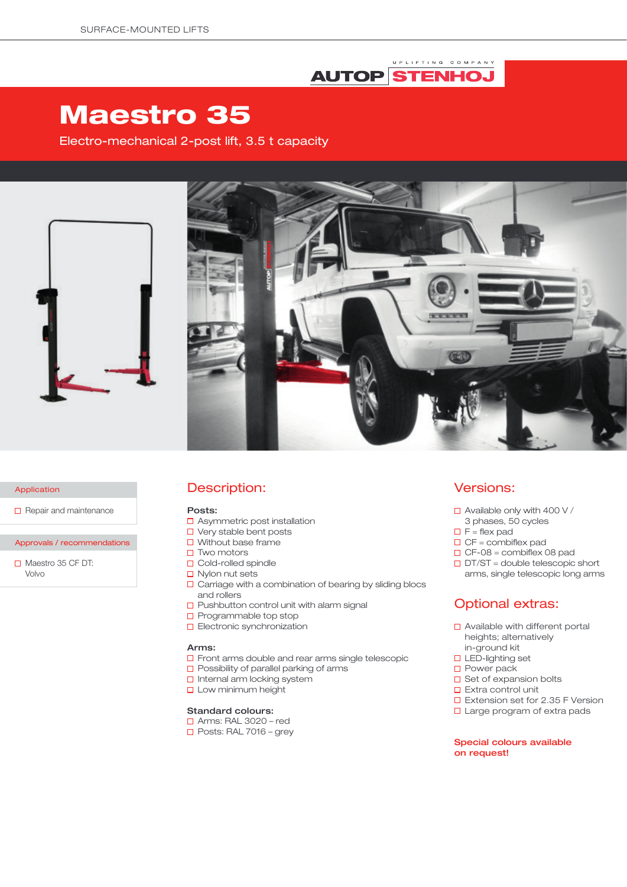## UPLIFTING COMPANY **AUTOP STENHOJ**

# Maestro 35

Electro-mechanical 2-post lift, 3.5 t capacity





#### Application

 $\Box$  Repair and maintenance

#### Approvals / recommendations

 $\Box$  Maestro 35 CF DT: Volvo

## Description:

#### Posts:

- □ Asymmetric post installation
- □ Very stable bent posts
- $\Box$  Without base frame
- $\square$  Two motors
- □ Cold-rolled spindle
- $\Box$  Nylon nut sets
- $\square$  Carriage with a combination of bearing by sliding blocs and rollers
- $\square$  Pushbutton control unit with alarm signal
- $\square$  Programmable top stop
- **D** Electronic synchronization

#### Arms:

- $\Box$  Front arms double and rear arms single telescopic
- $\square$  Possibility of parallel parking of arms
- $\Box$  Internal arm locking system
- **Low minimum height**

#### Standard colours:

- Arms: RAL 3020 red
- $\Box$  Posts: RAL 7016 grey

### Versions:

- $\Box$  Available only with 400 V /
- 3 phases, 50 cycles
- $\Box$  F = flex pad
- $\Box$  CF = combiflex pad
- $\Box$  CF-08 = combiflex 08 pad
- $\Box$  DT/ST = double telescopic short arms, single telescopic long arms

# Optional extras:

- □ Available with different portal heights; alternatively in-ground kit
- □ LED-lighting set
- **D** Power pack
- $\square$  Set of expansion bolts
- $\square$  Extra control unit
- □ Extension set for 2.35 F Version
- □ Large program of extra pads

#### Special colours available on request!